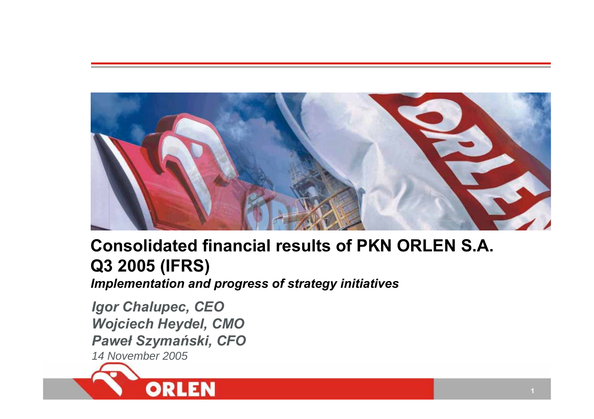

# **Consolidated financial results of PKN ORLEN S.A. Q3 2005 (IFRS)**

*Implementation and progress of strategy initiatives*

*Igor Chalupec, CEO Wojciech Heydel, CMO Pawe ł Szyma ński, CFO 14 November 2005*

ORL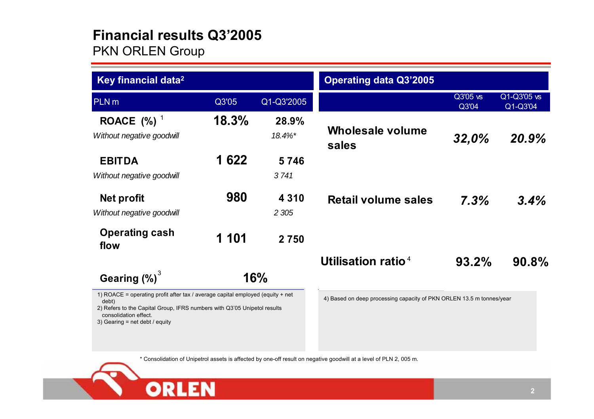# **Financial results Q3'2005**

**ORLEN** 

PKN ORLEN Group

| Key financial data <sup>2</sup>                                                                                                                                                                                                |       |                    | <b>Operating data Q3'2005</b>                                        |                   |                         |
|--------------------------------------------------------------------------------------------------------------------------------------------------------------------------------------------------------------------------------|-------|--------------------|----------------------------------------------------------------------|-------------------|-------------------------|
| <b>PLN</b> m                                                                                                                                                                                                                   | Q3'05 | Q1-Q3'2005         |                                                                      | Q3'05 vs<br>Q3'04 | Q1-Q3'05 vs<br>Q1-Q3'04 |
| ROACE $(%)$ <sup>1</sup><br>Without negative goodwill                                                                                                                                                                          | 18.3% | 28.9%<br>18.4%*    | <b>Wholesale volume</b><br>sales                                     | 32,0%             | 20.9%                   |
| <b>EBITDA</b><br>Without negative goodwill                                                                                                                                                                                     | 1 622 | 5746<br>3741       |                                                                      |                   |                         |
| Net profit<br>Without negative goodwill                                                                                                                                                                                        | 980   | 4 3 1 0<br>2 3 0 5 | <b>Retail volume sales</b>                                           | 7.3%              | 3.4%                    |
| <b>Operating cash</b><br>flow                                                                                                                                                                                                  | 1 101 | 2750               |                                                                      |                   |                         |
|                                                                                                                                                                                                                                |       |                    | Utilisation ratio <sup>4</sup>                                       | 93.2%             | $90.8\%$                |
| Gearing $(\%)^3$                                                                                                                                                                                                               |       | 16%                |                                                                      |                   |                         |
| 1) ROACE = operating profit after tax / average capital employed (equity + net<br>debt)<br>2) Refers to the Capital Group, IFRS numbers with Q3'05 Unipetol results<br>consolidation effect.<br>3) Gearing = net debt / equity |       |                    | 4) Based on deep processing capacity of PKN ORLEN 13.5 m tonnes/year |                   |                         |

\* Consolidation of Unipetrol assets is affected by one-off result on negative goodwill at a level of PLN 2, 005 m.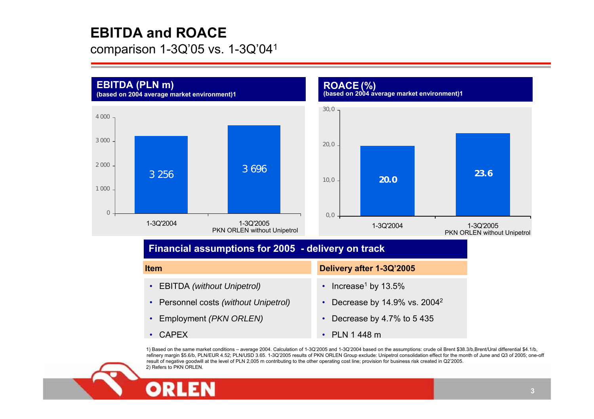# **EBITDA and ROACE**

comparison 1-3Q'05 vs. 1-3Q'041



refinery margin \$5.6/b, PLN/EUR 4.52; PLN/USD 3.65. 1-3Q'2005 results of PKN ORLEN Group exclude: Unipetrol consolidation effect for the month of June and Q3 of 2005; one-off result of negative goodwill at the level of PLN 2,005 m contributing to the other operating cost line; provision for business risk created in Q2'2005. 2) Refers to PKN ORLEN.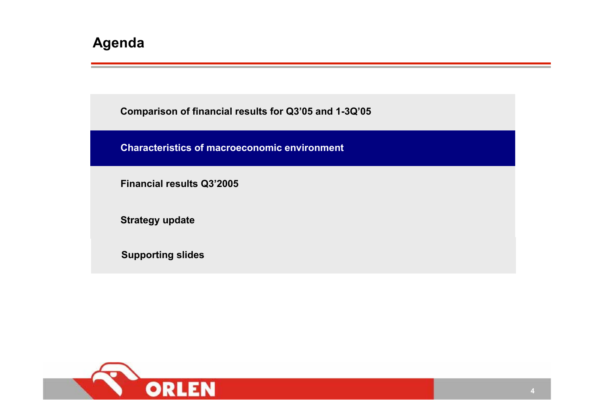**Comparison of financial results for Q3'05 and 1-3Q'05**

**Characteristics of macroeconomic environment**

**Financial results Q3'2005**

**Strategy update**

**Supporting slides**

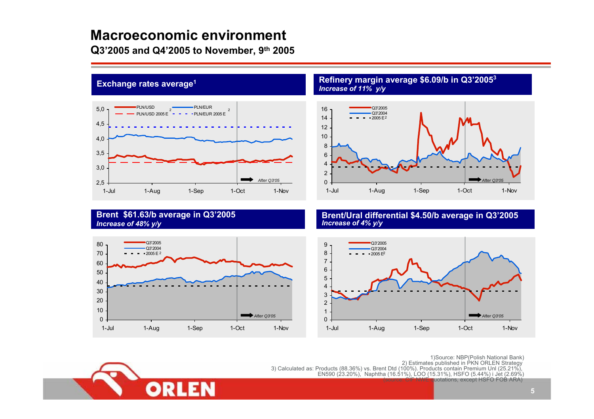# **Macroeconomic environment**

**Q3'2005 and Q4'2005 to November, 9th 2005**



#### **Refinery margin average \$6.09/b in Q3'2005<sup>3</sup>** *Increase of 11% y/y*



#### **Brent \$61.63/b average in Q3'2005** *Increase of 48% y/y*

12



#### **Brent/Ural differential \$4.50/b average in Q3'2005**  *Increase of 4% y/y*



1)Source: NBP(Polish National Bank)<br>2) Estimates published in PKN ORLEN Strategy<br>3) Calculated as: Products (88.36%) vs. Brent Dtd (100%). Products contain Premium Unl (25.21%),<br>EN590 (23.20%), Naphtha (16.51%), LOO (15.3 quotations, except HSFO FOB ARA)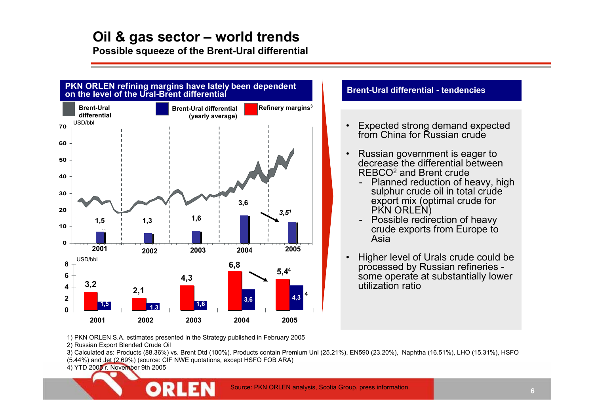**Possible squeeze of the Brent-Ural differential**



#### **Brent-Ural differential - tendencies**

- • Expected strong demand expected from China for Russian crude
- • Russian government is eager to decrease the differential between REBCO2 and Brent crude
	- Planned reduction of heavy, high sulphur crude oil in total crude export mix (optimal crude for PKN ORLEN)
	- Possible redirection of heavy crude exports from Europe to Asia
- • Higher level of Urals crude could be processed by Russian refineries some operate at substantially lower utilization ratio

1) PKN ORLEN S.A. estimates presented in the Strategy published in February 2005

2) Russian Export Blended Crude Oil

3) Calculated as: Products (88.36%) vs. Brent Dtd (100%). Products contain Premium Unl (25.21%), EN590 (23.20%), Naphtha (16.51%), LHO (15.31%), HSFO (5.44%) and Jet (2.69%) (source: CIF NWE quotations, except HSFO FOB ARA)

4) YTD 2005 r. November 9th 2005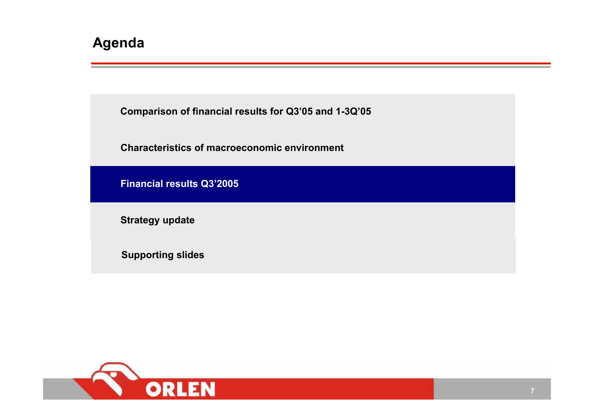**Comparison of financial results for Q3'05 and 1-3Q'05**

**Characteristics of macroeconomic environment**

**Financial results Q3'2005**

**Strategy update**

**Supporting slides**

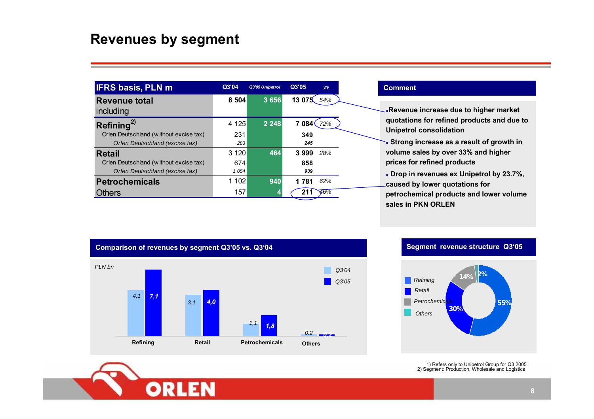# **Revenues by segment**

| <b>IFRS basis, PLN m</b>               | Q3'04   | Q3'05 Unipetrol | Q3'05              | y/y |  |
|----------------------------------------|---------|-----------------|--------------------|-----|--|
| <b>Revenue total</b>                   | 8 5 0 4 | 3 6 5 6         | 13 075             | 54% |  |
| including                              |         |                 |                    |     |  |
| Refining <sup>2)</sup>                 | 4 1 2 5 | 2 2 4 8         | 7 084 <sup>(</sup> | 72% |  |
| Orlen Deutschland (without excise tax) | 231     |                 | 349                |     |  |
| Orlen Deutschland (excise tax)         | 283     |                 | 245                |     |  |
| <b>Retail</b>                          | 3 1 2 0 | 464             | 3999               | 28% |  |
| Orlen Deutschland (without excise tax) | 674     |                 | 858                |     |  |
| Orlen Deutschland (excise tax)         | 1054    |                 | 939                |     |  |
| <b>Petrochemicals</b>                  | 1 102   | 940             | 1 7 8 1            | 62% |  |
| :hers                                  | 157     | 4               | 211                | 46% |  |

#### **Comment**

<sup>z</sup>**Revenue increase due to higher market quotations for refined products and due to Unipetrol consolidation**

z **Strong increase as a result of growth in volume sales by over 33% and higher prices for refined products**

z **Drop in revenues ex Unipetrol by 23.7%, caused by lower quotations for petrochemical products and lower volume sales in PKN ORLEN**



#### **Segment revenue structure Q3'05**



1) Refers only to Unipetrol Group for Q3 2005 2) Segment: Production, Wholesale and Logistics

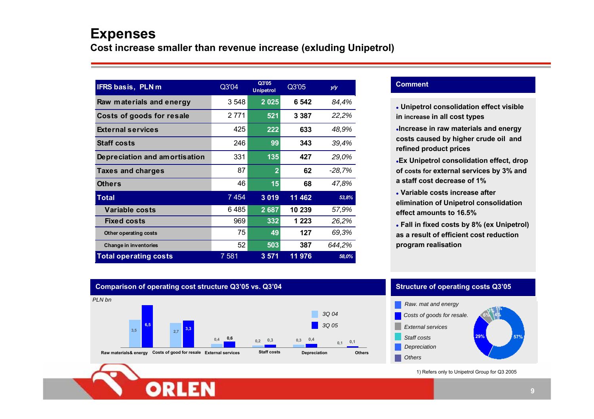# **Expenses**

**Cost increase smaller than revenue increase (exluding Unipetrol)**

| IFRS basis, PLN m             | Q3'04   | Q3'05<br><b>Unipetrol</b> | Q3'05   | y/y      |
|-------------------------------|---------|---------------------------|---------|----------|
| Raw materials and energy      | 3548    | 2 0 2 5                   | 6 542   | 84,4%    |
| Costs of goods for resale     | 2 7 7 1 | 521                       | 3 3 8 7 | 22,2%    |
| <b>External services</b>      | 425     | 222                       | 633     | 48,9%    |
| <b>Staff costs</b>            | 246     | 99                        | 343     | 39,4%    |
| Depreciation and amortisation | 331     | 135                       | 427     | 29,0%    |
| <b>Taxes and charges</b>      | 87      | $\overline{2}$            | 62      | $-28,7%$ |
| Others                        | 46      | 15                        | 68      | 47,8%    |
| Total                         | 7454    | 3019                      | 11 462  | 53,8%    |
| Variable costs                | 6485    | 2 6 8 7                   | 10 239  | 57,9%    |
| <b>Fixed costs</b>            | 969     | 332                       | 1 2 2 3 | 26,2%    |
| Other operating costs         | 75      | 49                        | 127     | 69,3%    |
| Change in inventories         | 52      | 503                       | 387     | 644,2%   |
| <b>Total operating costs</b>  | 7 581   | 3 5 7 1                   | 11 976  | 58,0%    |

#### **Comment**

- z **Unipetrol consolidation effect visible in increase in all cost types**
- <sup>z</sup>**Increase in raw materials and energy costs caused by higher crude oil and refined product prices**
- <sup>z</sup>**Ex Unipetrol consolidation effect, drop of costs for external services by 3% and a staff cost decrease of 1%**
- z **Variable costs increase after elimination of Unipetrol consolidation effect amounts to 16.5%**
- z **Fall in fixed costs by 8% (ex Unipetrol) as a result of efficient cost reductionprogram realisation**

#### **Comparison of operating cost structure Q3'05 vs. Q3'04 Structure of operating costs Q3'05**





1) Refers only to Unipetrol Group for Q3 2005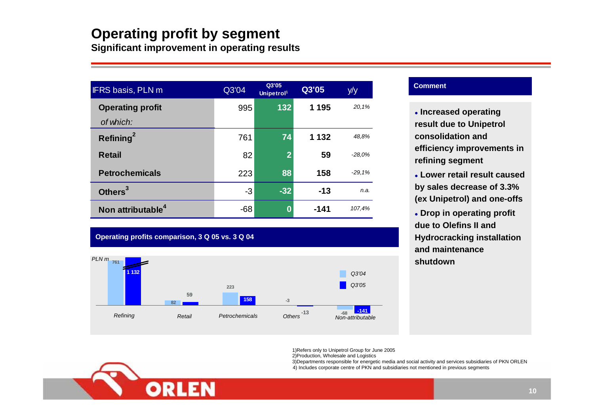# **Operating profit by segment**

**Significant improvement in operating results**

| <b>IFRS basis, PLN m</b>      | Q3'04 | Q3'05<br>Unipetrol <sup>1</sup> | Q3'05   | y/y      |
|-------------------------------|-------|---------------------------------|---------|----------|
| <b>Operating profit</b>       | 995   | 132                             | 1 1 9 5 | 20,1%    |
| of which:                     |       |                                 |         |          |
| Refining <sup>2</sup>         | 761   | 74                              | 1 1 3 2 | 48.8%    |
| <b>Retail</b>                 | 82    | $\overline{2}$                  | 59      | $-28.0%$ |
| <b>Petrochemicals</b>         | 223   | 88                              | 158     | $-29.1%$ |
| Others <sup>3</sup>           | -3    | $-32$                           | $-13$   | n.a.     |
| Non attributable <sup>4</sup> | $-68$ | 0                               | $-141$  | 107,4%   |

#### **Operating profits comparison, 3 Q 05 vs. 3 Q 04**



#### **Comment**

**Leased operating result due to Unipetrol consolidation and efficiency improvements in refining segment**

z **Lower retail result caused by sales decrease of 3.3% (ex Unipetrol) and one-offs**

**• Drop in operating profit due to Olefins II and Hydrocracking installation and maintenance shutdown**

1)Refers only to Unipetrol Group for June 2005 2)Production, Wholesale and Logistics

3)Departments responsible for energetic media and social activity and services subsidiaries of PKN ORLEN 4) Includes corporate centre of PKN and subsidiaries not mentioned in previous segments

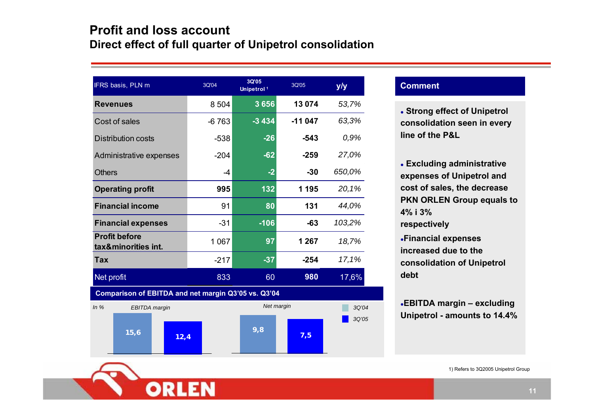# **Profit and loss account Direct effect of full quarter of Unipetrol consolidation**

| IFRS basis, PLN m                                   | 3Q'04   | 3Q'05<br>Unipetrol <sup>1</sup> | 3Q'05    | y/y    |
|-----------------------------------------------------|---------|---------------------------------|----------|--------|
| <b>Revenues</b>                                     | 8 5 0 4 | 3656                            | 13 0 74  | 53,7%  |
| Cost of sales                                       | $-6763$ | $-3434$                         | $-11047$ | 63,3%  |
| <b>Distribution costs</b>                           | $-538$  | $-26$                           | $-543$   | 0,9%   |
| Administrative expenses                             | $-204$  | $-62$                           | $-259$   | 27,0%  |
| <b>Others</b>                                       | $-4$    | $-2$                            | $-30$    | 650,0% |
| <b>Operating profit</b>                             | 995     | 132                             | 1 195    | 20,1%  |
| <b>Financial income</b>                             | 91      | 80                              | 131      | 44,0%  |
| <b>Financial expenses</b>                           | $-31$   | $-106$                          | $-63$    | 103,2% |
| <b>Profit before</b><br>tax&minorities int.         | 1 0 6 7 | 97                              | 1 2 6 7  | 18,7%  |
| <b>Tax</b>                                          | $-217$  | $-37$                           | $-254$   | 17,1%  |
| Net profit                                          | 833     | 60                              | 980      | 17,6%  |
| Comparison of EBITDA and net margin Q3'05 vs. Q3'04 |         |                                 |          |        |
| In%<br><b>EBITDA</b> margin                         |         | Net margin                      |          | 3Q'04  |
|                                                     |         |                                 |          | 3Q'05  |

**9,8 7,5**

#### **Comment**

z **Strong effect of Unipetrol consolidation seen in every line of the P&L**

z **Excluding administrative expenses of Unipetrol and cost of sales, the decrease PKN ORLEN Group equals to 4% i 3% respectively**

<sup>z</sup>**Financial expenses increased due to theconsolidation of Unipetrol debt**

<sup>z</sup>**EBITDA margin – excluding Unipetrol - amounts to 14.4%**

1) Refers to 3Q2005 Unipetrol Group

**15,6 12,4**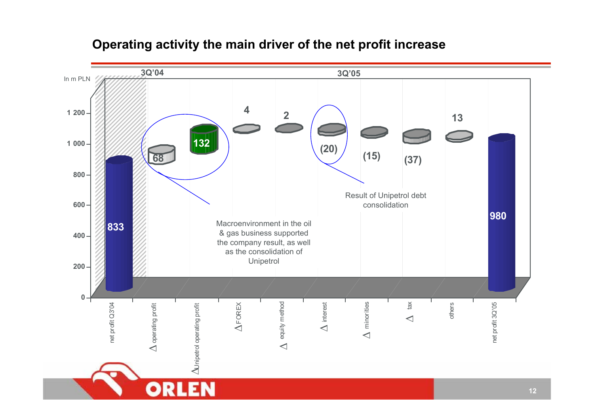

# **Operating activity the main driver of the net profit increase**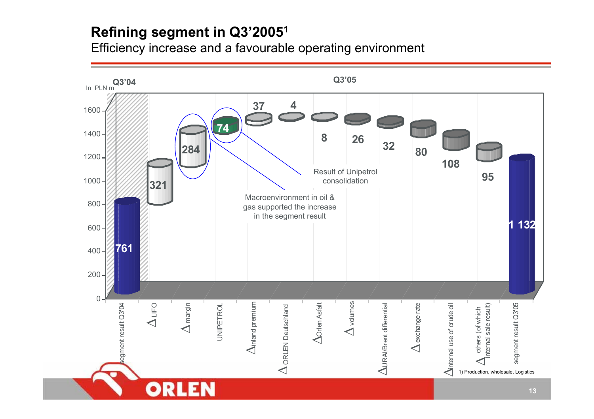# **Refining segment in Q3'20051**

Efficiency increase and a favourable operating environment

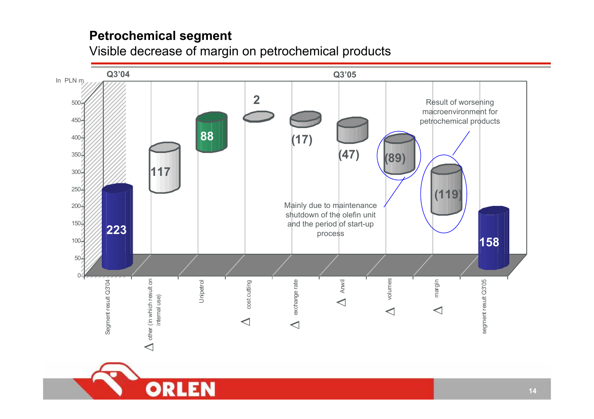# **Petrochemical segment**

Visible decrease of margin on petrochemical products

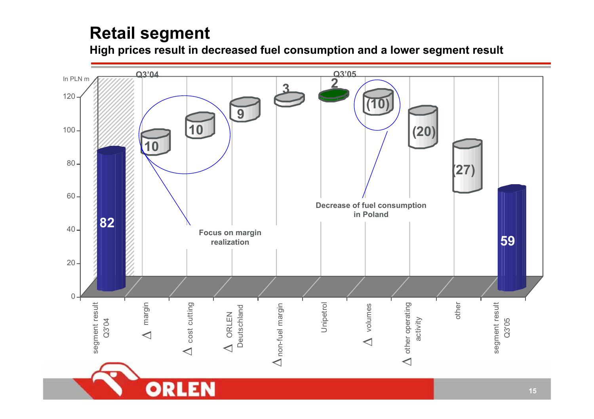# **Retail segment**

**High prices result in decreased fuel consumption and a lower segment result**

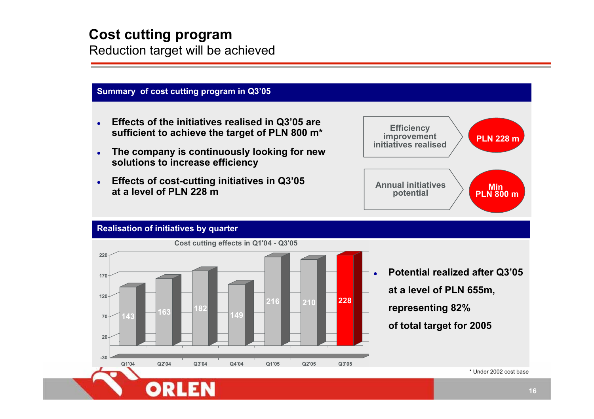# **Cost cutting program**

Reduction target will be achieved

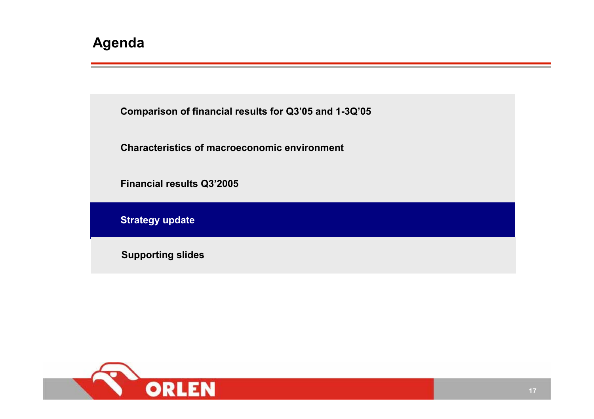**Comparison of financial results for Q3'05 and 1-3Q'05**

**Characteristics of macroeconomic environment**

**Financial results Q3'2005**

**Strategy update**

**Supporting slides**

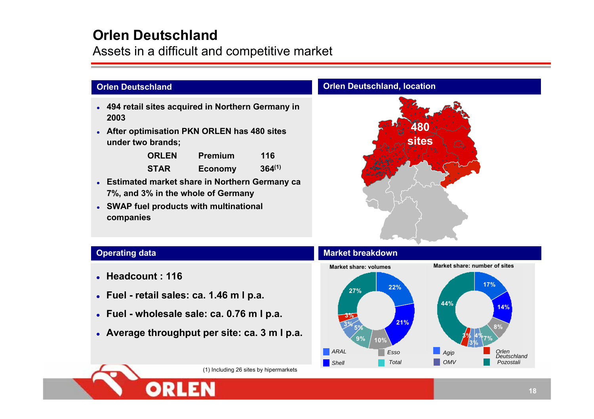# **Orlen Deutschland**

Assets in a difficult and competitive market

### **Orlen Deutschland**

- **494 retail sites acquired in Northern Germany in 2003**
- z **After optimisation PKN ORLEN has 480 sites under two brands;**

| <b>ORLEN</b> | <b>Premium</b> | 116         |
|--------------|----------------|-------------|
| <b>STAR</b>  | <b>Economy</b> | $364^{(1)}$ |

- z **Estimated market share in Northern Germany ca 7%, and 3% in the whole of Germany**
- **SWAP fuel products with multinational companies**

#### **Orlen Deutschland, location**



### **Operating data**

- z **Headcount : 116**
- z **Fuel - retail sales: ca. 1.46 m l p.a.**
- z **Fuel - wholesale sale: ca. 0.76 m l p.a.**
- z **Average throughput per site: ca. 3 m l p.a.**



(1) Including 26 sites by hipermarkets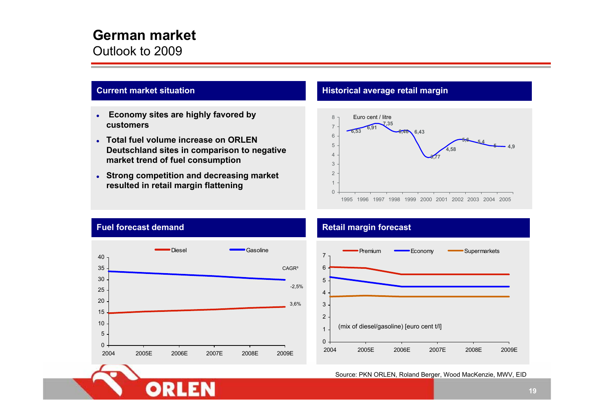# **German market**

Outlook to 2009

#### **Current market situation**

- z **Economy sites are highly favored by customers**
- **Total fuel volume increase on ORLEN Deutschland sites in comparison to negative market trend of fuel consumption**
- **Strong competition and decreasing market resulted in retail margin flattening**

#### **Historical average retail margin**





OR

#### **Retail margin forecast**



#### Source: PKN ORLEN, Roland Berger, Wood MacKenzie, MWV, EID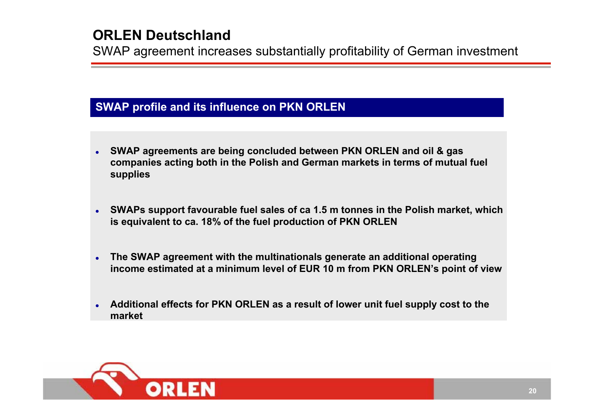# **ORLEN Deutschland**

SWAP agreement increases substantially profitability of German investment

### **SWAP profile and its influence on PKN ORLEN**

- O **SWAP agreements are being concluded between PKN ORLEN and oil & gas companies acting both in the Polish and German markets in terms of mutual fuel supplies**
- O **SWAPs support favourable fuel sales of ca 1.5 m tonnes in the Polish market, which is equivalent to ca. 18% of the fuel production of PKN ORLEN**
- O **The SWAP agreement with the multinationals generate an additional operating income estimated at a minimum level of EUR 10 m from PKN ORLEN's point of view**
- O **Additional effects for PKN ORLEN as a result of lower unit fuel supply cost to the market**

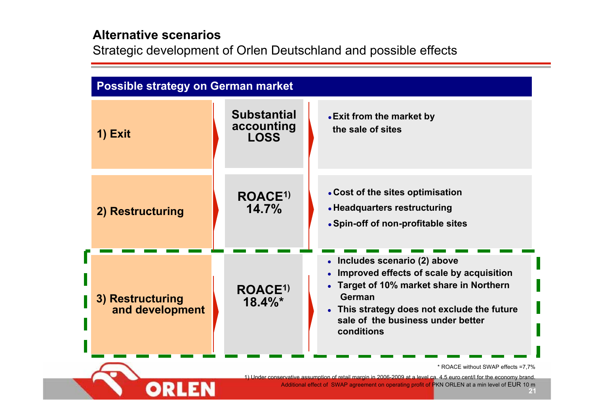## **Alternative scenarios**

Strategic development of Orlen Deutschland and possible effects

| <b>Possible strategy on German market</b> |                                                 |                                                                                                                                                                                                                                 |  |  |  |  |  |  |  |
|-------------------------------------------|-------------------------------------------------|---------------------------------------------------------------------------------------------------------------------------------------------------------------------------------------------------------------------------------|--|--|--|--|--|--|--|
| 1) Exit                                   | <b>Substantial</b><br>accounting<br><b>LOSS</b> | • Exit from the market by<br>the sale of sites                                                                                                                                                                                  |  |  |  |  |  |  |  |
| 2) Restructuring                          | ROACE <sup>1)</sup><br>14.7%                    | • Cost of the sites optimisation<br>• Headquarters restructuring<br>• Spin-off of non-profitable sites                                                                                                                          |  |  |  |  |  |  |  |
| 3) Restructuring<br>and development       | ROACE <sup>1)</sup><br>$18.4\%$ *               | • Includes scenario (2) above<br>Improved effects of scale by acquisition<br>Target of 10% market share in Northern<br>German<br>• This strategy does not exclude the future<br>sale of the business under better<br>conditions |  |  |  |  |  |  |  |
|                                           |                                                 | * ROACE without SWAP effects =7,7%<br>1) Under conservative assumption of retail margin in 2006-2009 at a level ca. 4.5 euro cent/l for the economy brand.                                                                      |  |  |  |  |  |  |  |
|                                           |                                                 | Additional effect of SWAP agreement on operating profit of PKN ORLEN at a min level of EUR 10 m                                                                                                                                 |  |  |  |  |  |  |  |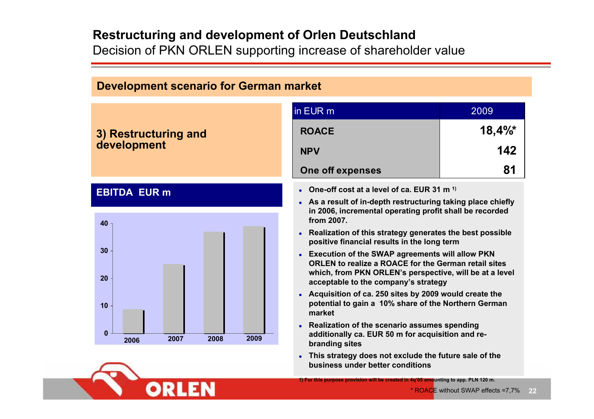# **Restructuring and development of Orlen Deutschland**

**ORLEN** 

**START START** 

Decision of PKN ORLEN supporting increase of shareholder value

| <b>Development scenario for German market</b> |                                                                                                                                                                                                                                                                                                                                                                                                                                                                                                                                                                                                      |       |  |  |  |  |  |  |
|-----------------------------------------------|------------------------------------------------------------------------------------------------------------------------------------------------------------------------------------------------------------------------------------------------------------------------------------------------------------------------------------------------------------------------------------------------------------------------------------------------------------------------------------------------------------------------------------------------------------------------------------------------------|-------|--|--|--|--|--|--|
|                                               | in EUR m                                                                                                                                                                                                                                                                                                                                                                                                                                                                                                                                                                                             | 2009  |  |  |  |  |  |  |
| 3) Restructuring and                          | <b>ROACE</b>                                                                                                                                                                                                                                                                                                                                                                                                                                                                                                                                                                                         | 18,4% |  |  |  |  |  |  |
| development                                   | <b>NPV</b>                                                                                                                                                                                                                                                                                                                                                                                                                                                                                                                                                                                           | 142   |  |  |  |  |  |  |
|                                               | One off expenses                                                                                                                                                                                                                                                                                                                                                                                                                                                                                                                                                                                     | 81    |  |  |  |  |  |  |
| <b>EBITDA EUR m</b>                           | • One-off cost at a level of ca. EUR 31 m <sup>1)</sup>                                                                                                                                                                                                                                                                                                                                                                                                                                                                                                                                              |       |  |  |  |  |  |  |
| 40<br>30 <sup>°</sup><br>20<br>10             | • As a result of in-depth restructuring taking place chiefly<br>in 2006, incremental operating profit shall be recorded<br>from 2007.<br>Realization of this strategy generates the best possible<br>positive financial results in the long term<br>• Execution of the SWAP agreements will allow PKN<br><b>ORLEN to realize a ROACE for the German retail sites</b><br>which, from PKN ORLEN's perspective, will be at a level<br>acceptable to the company's strategy<br>• Acquisition of ca. 250 sites by 2009 would create the<br>potential to gain a 10% share of the Northern German<br>market |       |  |  |  |  |  |  |
| $\bf{0}$<br>2009<br>2007<br>2008<br>2006      | Realization of the scenario assumes spending<br>additionally ca. EUR 50 m for acquisition and re-<br>branding sites                                                                                                                                                                                                                                                                                                                                                                                                                                                                                  |       |  |  |  |  |  |  |
|                                               | • This strategy does not exclude the future sale of the<br>business under better conditions                                                                                                                                                                                                                                                                                                                                                                                                                                                                                                          |       |  |  |  |  |  |  |
|                                               | 1) For this purpose provision will be created in 4q'05 amounting to app. PLN 120 m.                                                                                                                                                                                                                                                                                                                                                                                                                                                                                                                  |       |  |  |  |  |  |  |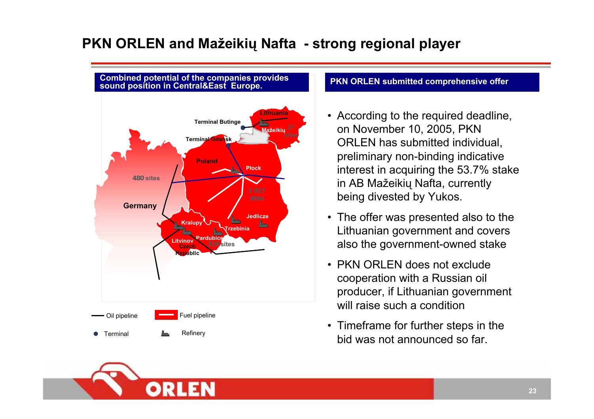# **PKN ORLEN and Mažeikių Nafta - strong regional player**



#### **Pozycja partnerów w Środkowo – Wschodniej**  lled com

- According to the required deadline, on November 10, 2005, PKN ORLEN has submitted individual, preliminary non-binding indicative interest in acquiring the 53.7% stake in AB Mažeikių Nafta, currently being divested by Yukos.
- The offer was presented also to the Lithuanian government and covers also the government-owned stake
- PKN ORLEN does not exclude cooperation with a Russian oil producer, if Lithuanian government will raise such a condition
- Timeframe for further steps in the bid was not announced so far.

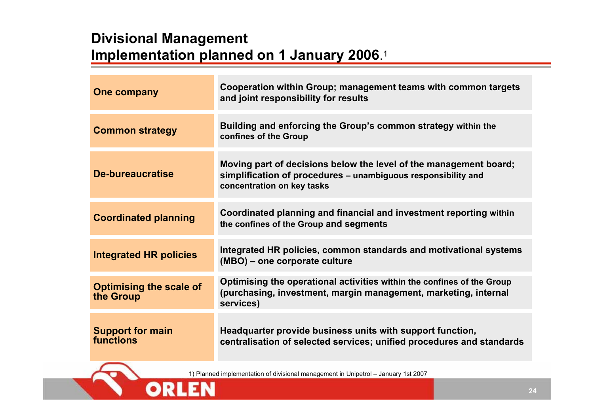# **Divisional Management Implementation planned on 1 January 2006**.<sup>1</sup>

**ORLEN** 

| <b>One company</b>                          | Cooperation within Group; management teams with common targets<br>and joint responsibility for results                                                           |
|---------------------------------------------|------------------------------------------------------------------------------------------------------------------------------------------------------------------|
| <b>Common strategy</b>                      | Building and enforcing the Group's common strategy within the<br>confines of the Group                                                                           |
| De-bureaucratise                            | Moving part of decisions below the level of the management board;<br>simplification of procedures - unambiguous responsibility and<br>concentration on key tasks |
| <b>Coordinated planning</b>                 | Coordinated planning and financial and investment reporting within<br>the confines of the Group and segments                                                     |
| <b>Integrated HR policies</b>               | Integrated HR policies, common standards and motivational systems<br>(MBO) – one corporate culture                                                               |
| <b>Optimising the scale of</b><br>the Group | Optimising the operational activities within the confines of the Group<br>(purchasing, investment, margin management, marketing, internal<br>services)           |
| <b>Support for main</b><br>functions        | Headquarter provide business units with support function,<br>centralisation of selected services; unified procedures and standards                               |
|                                             | 1) Planned implementation of divisional management in Unipetrol - January 1st 2007                                                                               |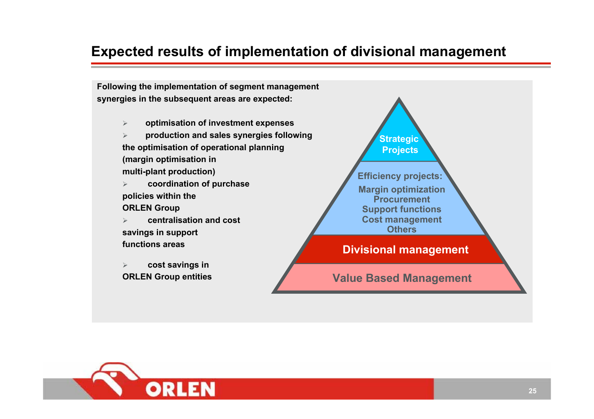# **Expected results of implementation of divisional management**

**Following the implementation of segment management synergies in the subsequent areas are expected:**

> $\blacktriangleright$ **optimisation of investment expenses**

¾ **production and sales synergies following the optimisation of operational planning (margin optimisation in multi-plant production)**

- ¾ **coordination of purchase policies within the ORLEN Group**
- $\geq$  **centralisation and cost savings in support functions areas**
- $\blacktriangleright$  **cost savings in ORLEN Group entities**



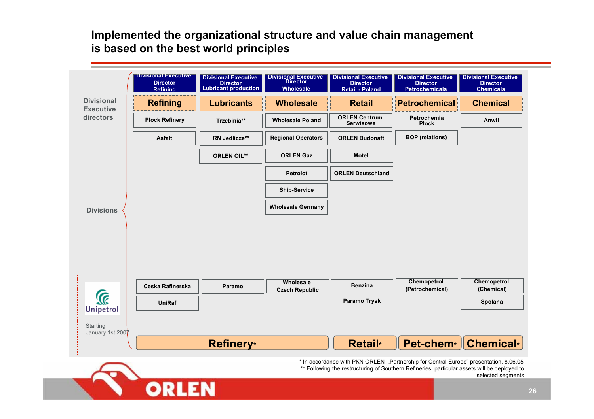**Implemented the organizational structure and value chain management is based on the best world principles**

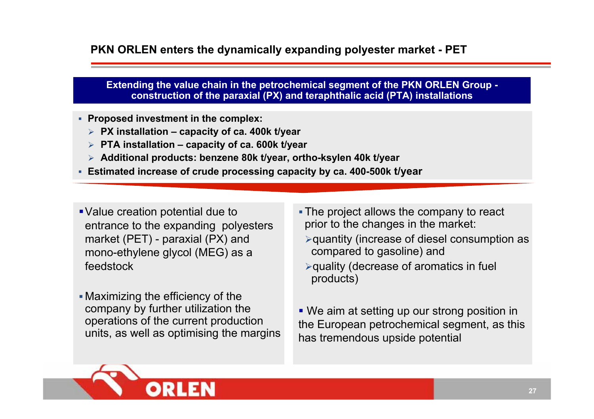## **PKN ORLEN enters the dynamically expanding polyester market - PET**

**Extending the value chain in the petrochemical segment of the PKN ORLEN Group construction of the paraxial (PX) and teraphthalic acid (PTA) installations**

- **Proposed investment in the complex:**
	- ¾ **PX installation – capacity of ca. 400k t/year**
	- ¾ **PTA installation – capacity of ca. 600k t/year**
	- ¾ **Additional products: benzene 80k t/year, ortho-ksylen 40k t/year**
- **Estimated increase of crude processing capacity by ca. 400-500k t/year**
- Value creation potential due to entrance to the expanding polyesters market (PET) - paraxial (PX) and mono-ethylene glycol (MEG) as a feedstock
- Maximizing the efficiency of the company by further utilization the operations of the current production units, as well as optimising the margins
- The project allows the company to react prior to the changes in the market:
- <sup>¾</sup>quantity (increase of diesel consumption as compared to gasoline) and
- <sup>¾</sup>quality (decrease of aromatics in fuel products)
- We aim at setting up our strong position in the European petrochemical segment, as this has tremendous upside potential

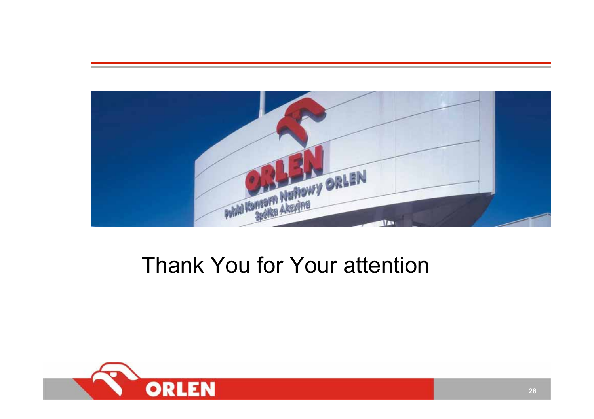

# Thank You for Your attention

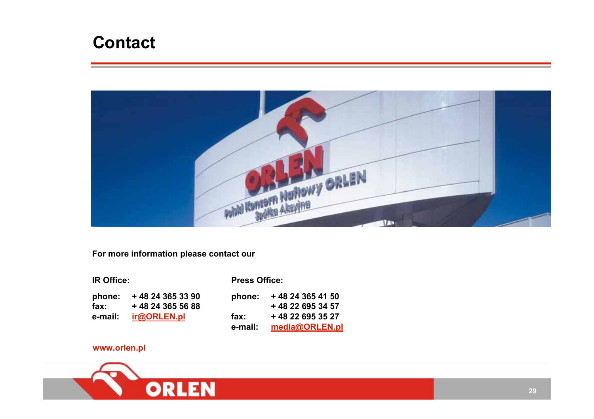# **Contact**



**For more information please contact our** 

| <b>IR Office:</b> |                   | <b>Press Office:</b> |                   |  |  |  |
|-------------------|-------------------|----------------------|-------------------|--|--|--|
| phone:            | + 48 24 365 33 90 | phone:               | + 48 24 365 41 50 |  |  |  |
| $\mathsf{fax}$ :  | +48 24 365 56 88  |                      | +48 22 695 34 57  |  |  |  |
| e-mail:           | ir@ORLEN.pl       | fax:                 | + 48 22 695 35 27 |  |  |  |
|                   |                   | e-mail:              | media@ORLEN.pl    |  |  |  |
|                   |                   |                      |                   |  |  |  |

#### **www.orlen.pl**

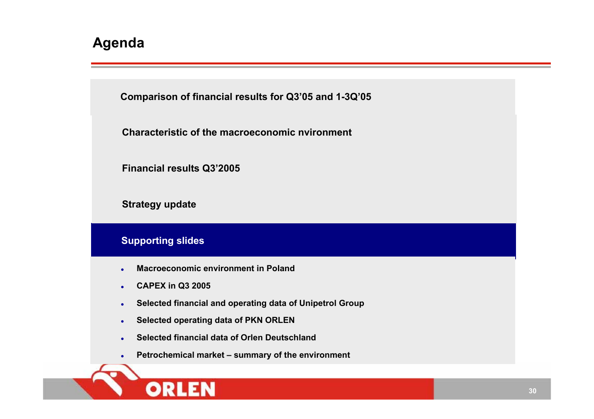

 $\bullet$ **Petrochemical market – summary of the environment**

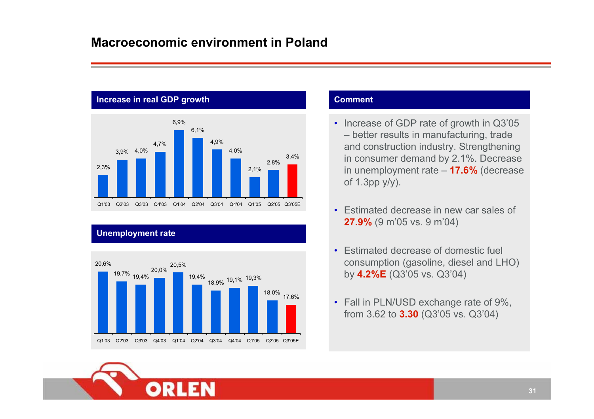## **Macroeconomic environment in Poland**



### **Unemployment rate**



#### **Comment**

- Increase of GDP rate of growth in Q3'05 – better results in manufacturing, trade and construction industry. Strengthening in consumer demand by 2.1%. Decrease in unemployment rate – **17.6%** (decrease of 1.3pp y/y).
- Estimated decrease in new car sales of **27.9%** (9 m'05 vs. 9 m'04)
- Estimated decrease of domestic fuel consumption (gasoline, diesel and LHO) by **4.2%E** (Q3'05 vs. Q3'04)
- Fall in PLN/USD exchange rate of 9%, from 3.62 to **3.30** (Q3'05 vs. Q3'04)

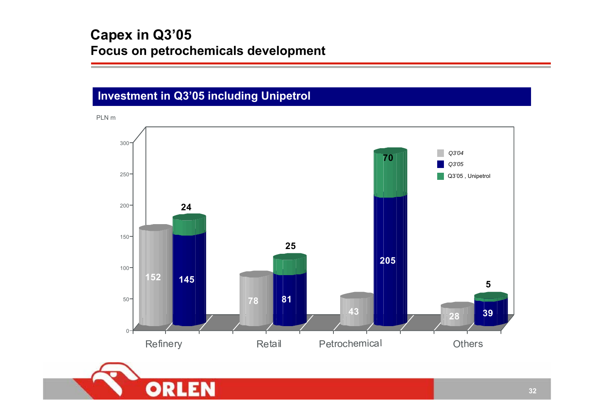# **Capex in Q3'05 Focus on petrochemicals development**

# **Investment in Q3'05 including Unipetrol**

PLN m



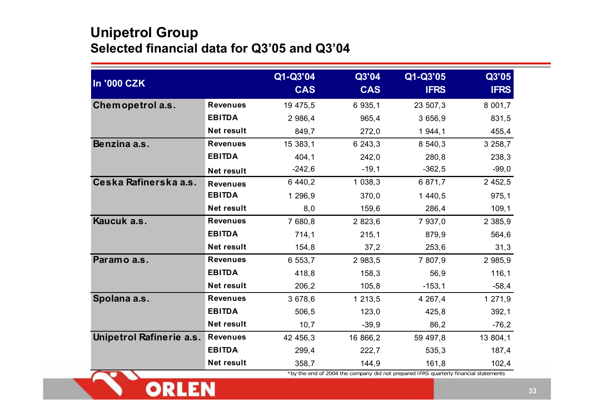# **Unipetrol Group Selected financial data for Q3'05 and Q3'04**

**TAY** 

ORLEN

|                                 |                   | Q1-Q3'04   | Q3'04      | Q1-Q3'05    | Q3'05       |
|---------------------------------|-------------------|------------|------------|-------------|-------------|
| <b>In '000 CZK</b>              |                   | <b>CAS</b> | <b>CAS</b> | <b>IFRS</b> | <b>IFRS</b> |
| Chemopetrol a.s.                | <b>Revenues</b>   | 19 475,5   | 6 935,1    | 23 507,3    | 8 001,7     |
|                                 | <b>EBITDA</b>     | 2 986,4    | 965,4      | 3 656,9     | 831,5       |
|                                 | Net result        | 849,7      | 272,0      | 1944,1      | 455,4       |
| Benzina a.s.                    | <b>Revenues</b>   | 15 383,1   | 6 243,3    | 8 540,3     | 3 258,7     |
|                                 | <b>EBITDA</b>     | 404,1      | 242,0      | 280,8       | 238,3       |
|                                 | Net result        | $-242,6$   | $-19,1$    | $-362,5$    | $-99,0$     |
| Ceska Rafinerska a.s.           | <b>Revenues</b>   | 6 440,2    | 1 0 38, 3  | 6 871,7     | 2 452,5     |
|                                 | <b>EBITDA</b>     | 1 296,9    | 370,0      | 1 440,5     | 975,1       |
|                                 | Net result        | 8,0        | 159,6      | 286,4       | 109, 1      |
| Kaucuk a.s.                     | <b>Revenues</b>   | 7 680,8    | 2 823,6    | 7 937,0     | 2 3 8 5 , 9 |
|                                 | <b>EBITDA</b>     | 714,1      | 215,1      | 879,9       | 564,6       |
|                                 | Net result        | 154,8      | 37,2       | 253,6       | 31,3        |
| Paramo a.s.                     | <b>Revenues</b>   | 6 553,7    | 2 983,5    | 7 807,9     | 2 985,9     |
|                                 | <b>EBITDA</b>     | 418,8      | 158,3      | 56,9        | 116,1       |
|                                 | Net result        | 206,2      | 105, 8     | $-153,1$    | $-58,4$     |
| Spolana a.s.                    | <b>Revenues</b>   | 3 678,6    | 1 213,5    | 4 267,4     | 1 271,9     |
|                                 | <b>EBITDA</b>     | 506,5      | 123,0      | 425,8       | 392, 1      |
|                                 | Net result        | 10,7       | $-39,9$    | 86,2        | $-76,2$     |
| <b>Unipetrol Rafinerie a.s.</b> | <b>Revenues</b>   | 42 456,3   | 16 866,2   | 59 497,8    | 13 804,1    |
|                                 | <b>EBITDA</b>     | 299,4      | 222,7      | 535,3       | 187,4       |
|                                 | <b>Net result</b> | 358,7      | 144,9      | 161,8       | 102,4       |

\*by the end of 2004 the company did not prepared IFRS quarterly financial statements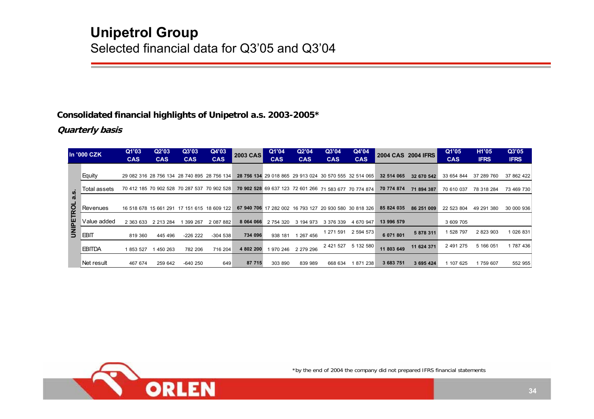#### **Consolidated financial highlights of Unipetrol a.s. 2003-2005\***

#### **Quarterly basis**

|                  | In '000 CZK   | Q1'03      | Q2'03      | Q3'03      | Q4'03                                       | <b>2003 CAS</b> | Q1'04      | Q2'04                                                  | Q3'04      | Q4'04      |            | <b>2004 CAS 2004 IFRS</b> | Q1'05      | H <sub>1</sub> '05 | Q3'05       |
|------------------|---------------|------------|------------|------------|---------------------------------------------|-----------------|------------|--------------------------------------------------------|------------|------------|------------|---------------------------|------------|--------------------|-------------|
|                  |               | <b>CAS</b> | <b>CAS</b> | <b>CAS</b> | <b>CAS</b>                                  |                 | <b>CAS</b> | <b>CAS</b>                                             | <b>CAS</b> | <b>CAS</b> |            |                           | <b>CAS</b> | <b>IFRS</b>        | <b>IFRS</b> |
|                  | Equity        |            |            |            | 29 082 316 28 756 134 28 740 895 28 756 134 |                 |            | 28 756 134 29 018 865 29 913 024 30 570 555 32 514 065 |            |            | 32 514 065 | 32 670 542                | 33 654 844 | 37 289 760         | 37 862 422  |
| U.               | Total assets  |            |            |            | 70 412 185 70 902 528 70 287 537 70 902 528 |                 |            | 70 902 528 69 637 123 72 601 266 71 583 677 70 774 874 |            |            | 70 774 874 | 71 894 387                | 70 610 037 | 78 318 284         | 73 469 730  |
| 2<br><b>TROL</b> | Revenues      |            |            |            | 16 518 678 15 661 291 17 151 615 18 609 122 |                 |            | 67 940 706 17 282 002 16 793 127 20 930 580 30 818 326 |            |            | 85 824 035 | 86 251 009                | 22 523 804 | 49 291 380         | 30 000 936  |
|                  | Value added   | 2 363 633  | 2 213 284  | 399 267    | 2 087 882                                   | 8 064 066       | 2 754 320  | 3 194 973                                              | 3 376 339  | 4 670 947  | 13 996 579 |                           | 3 609 705  |                    |             |
| <b>UNIPE</b>     | <b>EBIT</b>   | 819 360    | 445 496    | $-22622$   | $-304538$                                   | 734 096         | 938 181    | 1 267 456                                              | 1 271 591  | 2 594 573  | 6 071 801  | 5 878 311                 | 528 797    | 2 823 903          | 1 026 831   |
|                  | <b>EBITDA</b> | 1 853 527  | 450 263    | 782 206    | 716 204                                     | 4 802 200       | 970 246    | 2 279 296                                              | 2 421 527  | 5 132 580  | 11 803 649 | 11 624 371                | 2 491 275  | 5 166 051          | 1 787 436   |
|                  | Net result    | 467 674    | 259 642    | $-640250$  | 649                                         | 87 715          | 303 890    | 839 989                                                | 668 634    | 871 238    | 3 683 751  | 3 695 424                 | 107 625    | 759 607            | 552 955     |



\*by the end of 2004 the company did not prepared IFRS financial statements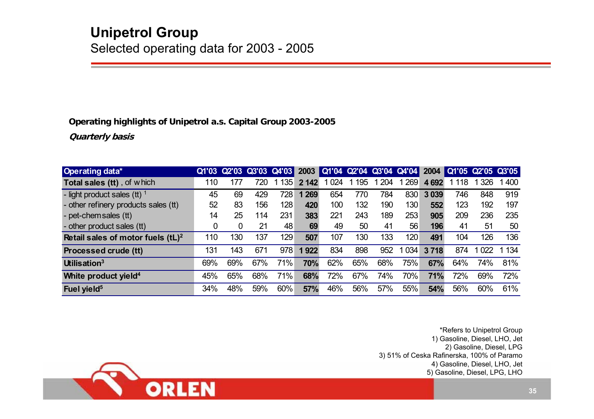#### **Operating highlights of Unipetrol a.s. Capital Group 2003-2005**

**Quarterly basis**

| <b>Operating data*</b>               |     | Q1'03 Q2'03 Q3'03 Q4'03 |     |     |         | 2003 Q1'04 Q2'04 Q3'04 Q4'04 |     |     |     | 2004       | Q1'05 Q2'05 Q3'05 |         |     |
|--------------------------------------|-----|-------------------------|-----|-----|---------|------------------------------|-----|-----|-----|------------|-------------------|---------|-----|
| <b>Total sales (tt)</b> , of which   | 110 | 177                     | 720 | 135 | 2 142   | 024                          | 195 | 204 | 269 | 4692       | 118               | 326     | 400 |
| - light product sales (tt) $1$       | 45  | 69                      | 429 | 728 | 1 2 6 9 | 654                          | 770 | 784 | 830 | 3 0 39     | 746               | 848     | 919 |
| - other refinery products sales (tt) | 52  | 83                      | 156 | 128 | 420     | 100                          | 132 | 190 | 130 | 552        | 123               | 192     | 197 |
| - pet-chem sales (tt)                | 14  | 25                      | 114 | 231 | 383     | 221                          | 243 | 189 | 253 | 905        | 209               | 236     | 235 |
| - other product sales (tt)           | 0   | 0                       | 21  | 48  | 69      | 49                           | 50  | 41  | 56  | 196        | 41                | 51      | 50  |
| Retail sales of motor fuels $(tL)^2$ | 110 | 130                     | 137 | 129 | 507     | 107                          | 130 | 133 | 120 | 491        | 104               | 126     | 136 |
| <b>Processed crude (tt)</b>          | 131 | 143                     | 671 | 978 | 1922    | 834                          | 898 | 952 | 034 | 3718       | 874               | 1 0 2 2 | 134 |
| Utilisation <sup>3</sup>             | 69% | 69%                     | 67% | 71% | 70%     | 62%                          | 65% | 68% | 75% | 67%        | 64%               | 74%     | 81% |
| White product yield <sup>4</sup>     | 45% | 65%                     | 68% | 71% | 68%     | 72%                          | 67% | 74% | 70% | <b>71%</b> | 72%               | 69%     | 72% |
| Fuel yield <sup>5</sup>              | 34% | 48%                     | 59% | 60% | 57%     | 46%                          | 56% | 57% | 55% | 54%        | 56%               | 60%     | 61% |

\*Refers to Unipetrol Group 1) Gasoline, Diesel, LHO, Jet 2) Gasoline, Diesel, LPG 3) 51% of Ceska Rafinerska, 100% of Paramo 4) Gasoline, Diesel, LHO, Jet 5) Gasoline, Diesel, LPG, LHO

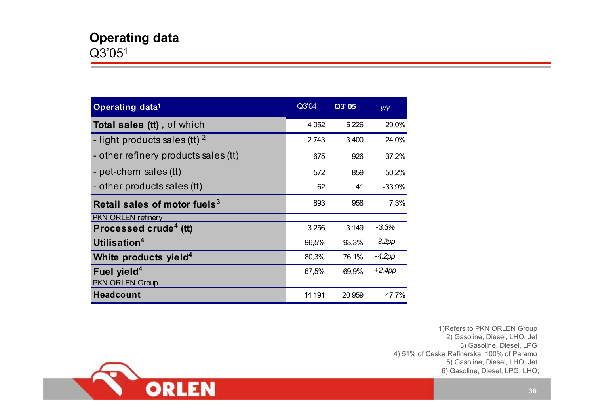| Operating data <sup>1</sup>              | Q3'04   | Q3' 05  | y/y       |
|------------------------------------------|---------|---------|-----------|
| Total sales (tt), of which               | 4 0 5 2 | 5 2 2 6 | 29,0%     |
| - light products sales (tt) $^2$         | 2743    | 3400    | 24,0%     |
| - other refinery products sales (tt)     | 675     | 926     | 37,2%     |
| - pet-chem sales (tt)                    | 572     | 859     | 50,2%     |
| - other products sales (tt)              | 62      | 41      | $-33,9%$  |
| Retail sales of motor fuels <sup>3</sup> | 893     | 958     | 7,3%      |
| <b>PKN ORLEN refinery</b>                |         |         |           |
| Processed crude <sup>4</sup> (tt)        | 3 2 5 6 | 3 1 4 9 | $-3,3%$   |
| Utilisation <sup>4</sup>                 | 96,5%   | 93,3%   | $-3.2pp$  |
| White products yield <sup>4</sup>        | 80,3%   | 76,1%   | $-4,2pp$  |
| Fuel yield <sup>4</sup>                  | 67,5%   | 69,9%   | $+2.4$ pp |
| <b>PKN ORLEN Group</b>                   |         |         |           |
| <b>Headcount</b>                         | 14 191  | 20 959  | 47,7%     |

1)Refers to PKN ORLEN Group 2) Gasoline, Diesel, LHO, Jet 3) Gasoline, Diesel, LPG 4) 51% of Ceska Rafinerska, 100% of Paramo 5) Gasoline, Diesel, LHO, Jet 6) Gasoline, Diesel, LPG, LHO;

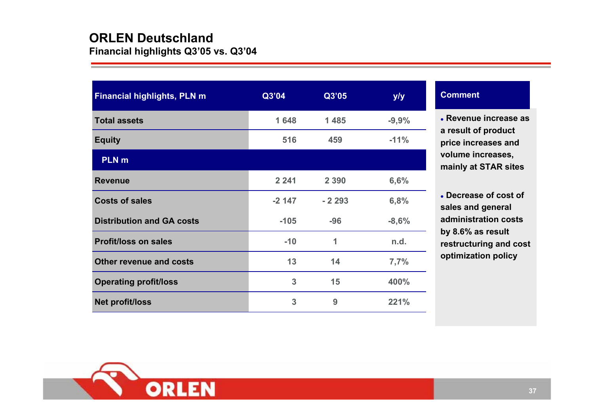# **ORLEN Deutschland**

**Financial highlights Q3'05 vs. Q3'04**

| <b>Financial highlights, PLN m</b> | Q3'04   | Q3'05   | y/y     |
|------------------------------------|---------|---------|---------|
| <b>Total assets</b>                | 1648    | 1 4 8 5 | $-9,9%$ |
| <b>Equity</b>                      | 516     | 459     | $-11%$  |
| <b>PLN</b> m                       |         |         |         |
| <b>Revenue</b>                     | 2 2 4 1 | 2 3 9 0 | 6,6%    |
| <b>Costs of sales</b>              | $-2147$ | $-2293$ | 6,8%    |
| <b>Distribution and GA costs</b>   | $-105$  | $-96$   | $-8,6%$ |
| <b>Profit/loss on sales</b>        | $-10$   | 1       | n.d.    |
| <b>Other revenue and costs</b>     | 13      | 14      | 7,7%    |
| <b>Operating profit/loss</b>       | 3       | 15      | 400%    |
| <b>Net profit/loss</b>             | 3       | 9       | 221%    |

#### **Comment**

z **Revenue increase as a result of product price increases and volume increases, mainly at STAR sites**

z **Decrease of cost of sales and general administration costs by 8.6% as result restructuring and cost optimization policy**